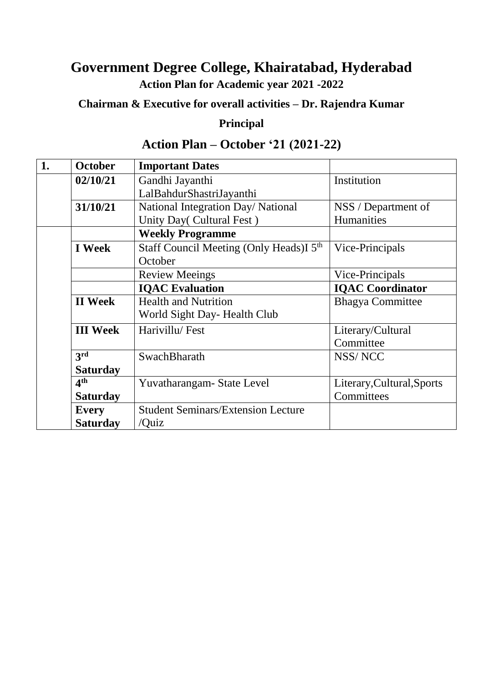#### **Government Degree College, Khairatabad, Hyderabad Action Plan for Academic year 2021 -2022**

**Chairman & Executive for overall activities – Dr. Rajendra Kumar**

#### **Principal**

#### **Action Plan – October '21 (2021-22)**

| 1. | October                 | <b>Important Dates</b>                              |                            |
|----|-------------------------|-----------------------------------------------------|----------------------------|
|    | 02/10/21                | Gandhi Jayanthi                                     | Institution                |
|    |                         | LalBahdurShastriJayanthi                            |                            |
|    | 31/10/21                | National Integration Day/ National                  | NSS / Department of        |
|    |                         | Unity Day(Cultural Fest)                            | Humanities                 |
|    | <b>Weekly Programme</b> |                                                     |                            |
|    | <b>I</b> Week           | Staff Council Meeting (Only Heads)I 5 <sup>th</sup> | Vice-Principals            |
|    |                         | October                                             |                            |
|    | <b>Review Meeings</b>   |                                                     | Vice-Principals            |
|    |                         | <b>IQAC</b> Evaluation                              | <b>IQAC</b> Coordinator    |
|    | <b>II</b> Week          | <b>Health and Nutrition</b>                         | <b>Bhagya Committee</b>    |
|    |                         | World Sight Day-Health Club                         |                            |
|    | <b>III</b> Week         | Harivillu/Fest                                      | Literary/Cultural          |
|    |                         |                                                     | Committee                  |
|    | 3rd                     | SwachBharath                                        | NSS/NCC                    |
|    | <b>Saturday</b>         |                                                     |                            |
|    | 4 <sup>th</sup>         | Yuvatharangam-State Level                           | Literary, Cultural, Sports |
|    | <b>Saturday</b>         |                                                     | Committees                 |
|    | <b>Every</b>            | <b>Student Seminars/Extension Lecture</b>           |                            |
|    | <b>Saturday</b>         | /Quiz                                               |                            |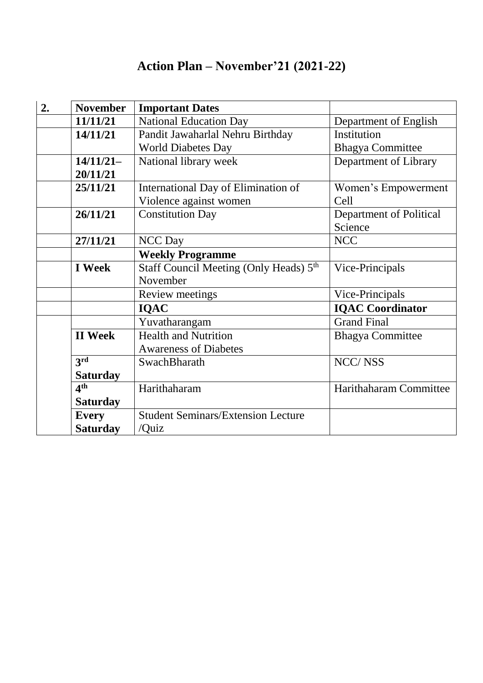## **Action Plan – November'21 (2021-22)**

| 2. | <b>November</b> | <b>Important Dates</b>                             |                         |
|----|-----------------|----------------------------------------------------|-------------------------|
|    | 11/11/21        | <b>National Education Day</b>                      | Department of English   |
|    | 14/11/21        | Pandit Jawaharlal Nehru Birthday                   | Institution             |
|    |                 | <b>World Diabetes Day</b>                          | <b>Bhagya Committee</b> |
|    | $14/11/21-$     | National library week                              | Department of Library   |
|    | 20/11/21        |                                                    |                         |
|    | 25/11/21        | International Day of Elimination of                | Women's Empowerment     |
|    |                 | Violence against women                             | Cell                    |
|    | 26/11/21        | <b>Constitution Day</b>                            | Department of Political |
|    |                 |                                                    | Science                 |
|    | 27/11/21        | <b>NCC</b> Day                                     | <b>NCC</b>              |
|    |                 | <b>Weekly Programme</b>                            |                         |
|    | <b>I</b> Week   | Staff Council Meeting (Only Heads) 5 <sup>th</sup> | Vice-Principals         |
|    |                 | November                                           |                         |
|    |                 | Review meetings                                    | Vice-Principals         |
|    |                 | <b>IQAC</b>                                        | <b>IQAC Coordinator</b> |
|    |                 | Yuvatharangam                                      | <b>Grand Final</b>      |
|    | <b>II</b> Week  | <b>Health and Nutrition</b>                        | <b>Bhagya Committee</b> |
|    |                 | <b>Awareness of Diabetes</b>                       |                         |
|    | 3rd             | SwachBharath                                       | <b>NCC/NSS</b>          |
|    | <b>Saturday</b> |                                                    |                         |
|    | 4 <sup>th</sup> | Harithaharam                                       | Harithaharam Committee  |
|    | <b>Saturday</b> |                                                    |                         |
|    | <b>Every</b>    | <b>Student Seminars/Extension Lecture</b>          |                         |
|    | <b>Saturday</b> | /Quiz                                              |                         |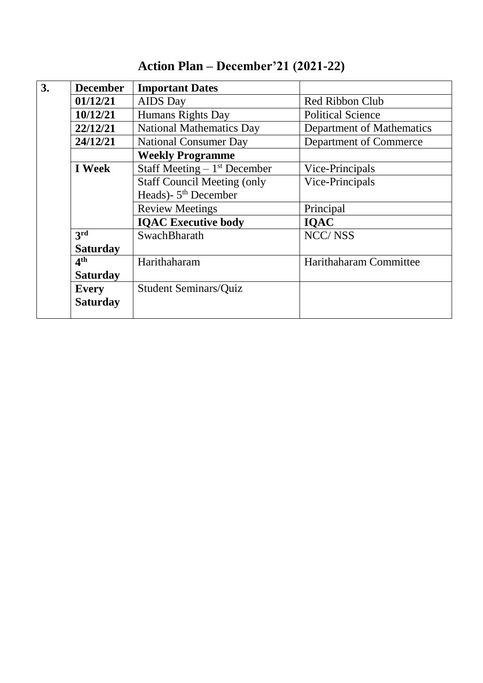| 3.                               | <b>December</b>                                                                                          | <b>Important Dates</b>       |                           |
|----------------------------------|----------------------------------------------------------------------------------------------------------|------------------------------|---------------------------|
|                                  | 01/12/21                                                                                                 | <b>AIDS</b> Day              | <b>Red Ribbon Club</b>    |
| 10/12/21                         |                                                                                                          | Humans Rights Day            | <b>Political Science</b>  |
|                                  | 22/12/21<br><b>National Mathematics Day</b><br>24/12/21<br><b>National Consumer Day</b>                  |                              | Department of Mathematics |
|                                  |                                                                                                          |                              | Department of Commerce    |
|                                  | <b>Weekly Programme</b><br>Staff Meeting $-1st$ December<br>I Week<br><b>Staff Council Meeting (only</b> |                              |                           |
|                                  |                                                                                                          |                              | Vice-Principals           |
|                                  |                                                                                                          |                              | Vice-Principals           |
| Heads)- 5 <sup>th</sup> December |                                                                                                          |                              |                           |
|                                  |                                                                                                          | <b>Review Meetings</b>       | Principal                 |
|                                  |                                                                                                          | <b>IQAC Executive body</b>   | <b>IQAC</b>               |
|                                  | 3rd                                                                                                      | <b>SwachBharath</b>          | <b>NCC/NSS</b>            |
|                                  | <b>Saturday</b>                                                                                          |                              |                           |
| 4 <sup>th</sup><br>Harithaharam  |                                                                                                          |                              | Harithaharam Committee    |
|                                  | <b>Saturday</b>                                                                                          |                              |                           |
|                                  | <b>Every</b>                                                                                             | <b>Student Seminars/Quiz</b> |                           |
|                                  | <b>Saturday</b>                                                                                          |                              |                           |
|                                  |                                                                                                          |                              |                           |

#### **Action Plan – December'21 (2021-22)**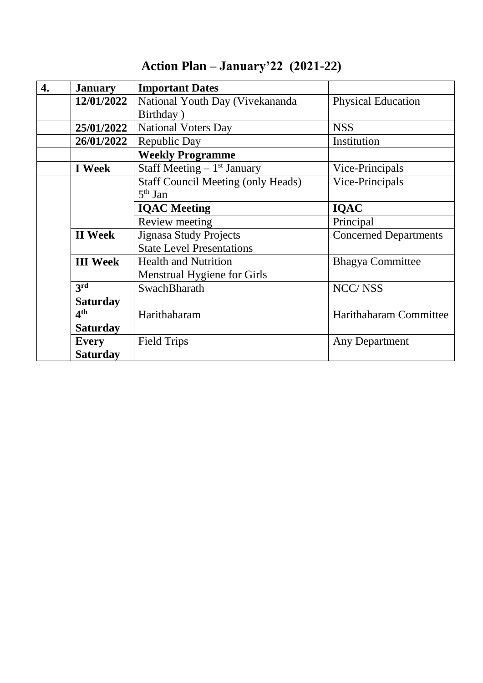| $\overline{4}$ . | <b>January</b>  | <b>Important Dates</b>                    |                              |
|------------------|-----------------|-------------------------------------------|------------------------------|
|                  | 12/01/2022      | National Youth Day (Vivekananda           | <b>Physical Education</b>    |
|                  |                 | Birthday)                                 |                              |
|                  | 25/01/2022      | <b>National Voters Day</b>                | <b>NSS</b>                   |
|                  | 26/01/2022      | Republic Day                              | Institution                  |
|                  |                 | <b>Weekly Programme</b>                   |                              |
|                  | <b>I</b> Week   | Staff Meeting $-1$ <sup>st</sup> January  | Vice-Principals              |
|                  |                 | <b>Staff Council Meeting (only Heads)</b> | Vice-Principals              |
|                  |                 | $5th$ Jan                                 |                              |
|                  |                 | <b>IQAC</b> Meeting                       | <b>IQAC</b>                  |
|                  |                 | Review meeting                            | Principal                    |
|                  | <b>II</b> Week  | <b>Jignasa Study Projects</b>             | <b>Concerned Departments</b> |
|                  |                 | <b>State Level Presentations</b>          |                              |
|                  | <b>III</b> Week | <b>Health and Nutrition</b>               | <b>Bhagya Committee</b>      |
|                  |                 | Menstrual Hygiene for Girls               |                              |
|                  | 3rd             | SwachBharath                              | <b>NCC/NSS</b>               |
|                  | <b>Saturday</b> |                                           |                              |
|                  | 4 <sup>th</sup> | Harithaharam                              | Harithaharam Committee       |
|                  | <b>Saturday</b> |                                           |                              |
|                  | <b>Every</b>    | <b>Field Trips</b>                        | Any Department               |
|                  | <b>Saturday</b> |                                           |                              |

## **Action Plan – January'22 (2021-22)**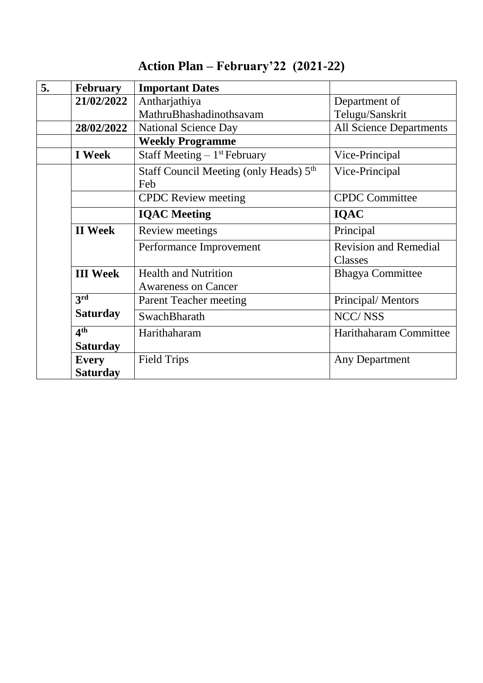| 5. | <b>February</b> | <b>Important Dates</b>                             |                                |
|----|-----------------|----------------------------------------------------|--------------------------------|
|    | 21/02/2022      | Antharjathiya                                      | Department of                  |
|    |                 | MathruBhashadinothsavam                            | Telugu/Sanskrit                |
|    | 28/02/2022      | <b>National Science Day</b>                        | <b>All Science Departments</b> |
|    |                 | <b>Weekly Programme</b>                            |                                |
|    | <b>I</b> Week   | Staff Meeting $-1$ <sup>st</sup> February          | Vice-Principal                 |
|    |                 | Staff Council Meeting (only Heads) 5 <sup>th</sup> | Vice-Principal                 |
|    |                 | Feb                                                |                                |
|    |                 | <b>CPDC</b> Review meeting                         | <b>CPDC</b> Committee          |
|    |                 | <b>IQAC</b> Meeting                                | <b>IQAC</b>                    |
|    | <b>II</b> Week  | Review meetings                                    | Principal                      |
|    |                 | Performance Improvement                            | <b>Revision and Remedial</b>   |
|    |                 |                                                    | Classes                        |
|    | <b>III</b> Week | <b>Health and Nutrition</b>                        | <b>Bhagya Committee</b>        |
|    |                 | <b>Awareness on Cancer</b>                         |                                |
|    | 3rd             | <b>Parent Teacher meeting</b>                      | Principal/Mentors              |
|    | <b>Saturday</b> | SwachBharath                                       | <b>NCC/NSS</b>                 |
|    | 4 <sup>th</sup> | Harithaharam                                       | Harithaharam Committee         |
|    | <b>Saturday</b> |                                                    |                                |
|    | <b>Every</b>    | <b>Field Trips</b>                                 | Any Department                 |
|    | <b>Saturday</b> |                                                    |                                |

#### **Action Plan – February'22 (2021-22)**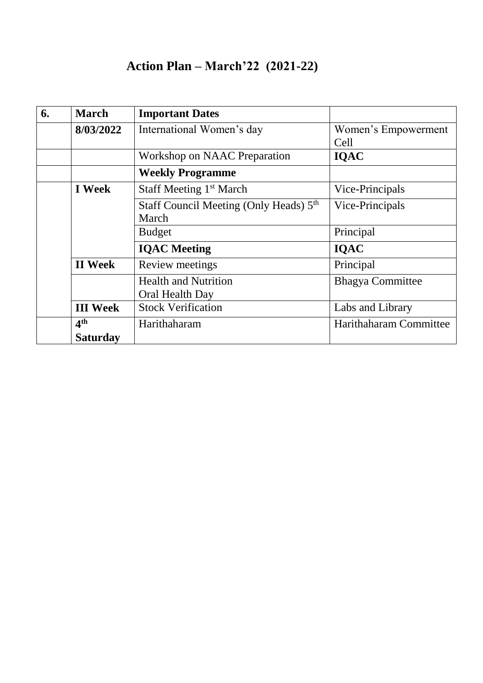#### **Action Plan – March'22 (2021-22)**

| 6. | <b>March</b>                                                                                                        | <b>Important Dates</b>       |                         |
|----|---------------------------------------------------------------------------------------------------------------------|------------------------------|-------------------------|
|    | 8/03/2022                                                                                                           | International Women's day    | Women's Empowerment     |
|    |                                                                                                                     |                              | Cell                    |
|    |                                                                                                                     | Workshop on NAAC Preparation | <b>IQAC</b>             |
|    |                                                                                                                     | <b>Weekly Programme</b>      |                         |
|    | <b>I</b> Week<br>Staff Meeting 1 <sup>st</sup> March<br>Staff Council Meeting (Only Heads) 5 <sup>th</sup><br>March |                              | Vice-Principals         |
|    |                                                                                                                     |                              | Vice-Principals         |
|    |                                                                                                                     |                              |                         |
|    | <b>Budget</b>                                                                                                       |                              | Principal               |
|    |                                                                                                                     | <b>IQAC</b> Meeting          | <b>IQAC</b>             |
|    | <b>II</b> Week                                                                                                      | Review meetings              | Principal               |
|    |                                                                                                                     | <b>Health and Nutrition</b>  | <b>Bhagya Committee</b> |
|    |                                                                                                                     | Oral Health Day              |                         |
|    | <b>III</b> Week                                                                                                     | <b>Stock Verification</b>    | Labs and Library        |
|    | 4 <sup>th</sup>                                                                                                     | Harithaharam                 | Harithaharam Committee  |
|    | <b>Saturday</b>                                                                                                     |                              |                         |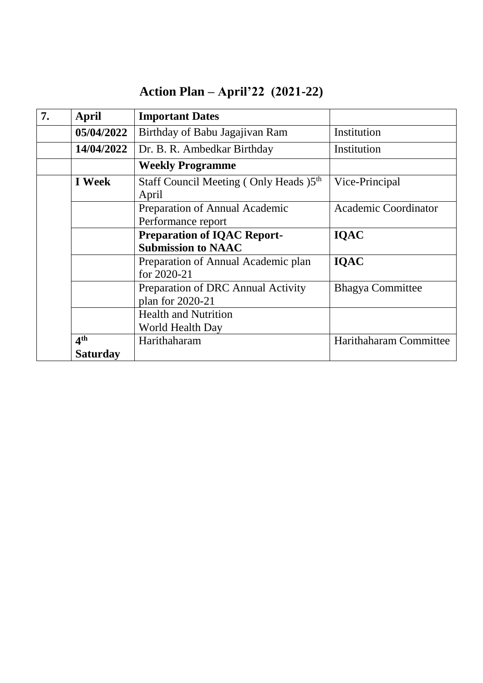| Action Plan – April'22 $(2021-22)$ |  |
|------------------------------------|--|
|------------------------------------|--|

| 7. | <b>April</b>                                                    | <b>Important Dates</b>                                 |                             |
|----|-----------------------------------------------------------------|--------------------------------------------------------|-----------------------------|
|    | 05/04/2022                                                      | Birthday of Babu Jagajivan Ram                         | Institution                 |
|    | 14/04/2022                                                      | Dr. B. R. Ambedkar Birthday                            | Institution                 |
|    |                                                                 | <b>Weekly Programme</b>                                |                             |
|    | <b>I</b> Week                                                   | Staff Council Meeting (Only Heads )5th<br>April        | Vice-Principal              |
|    | Preparation of Annual Academic<br>Performance report            |                                                        | <b>Academic Coordinator</b> |
|    | <b>Preparation of IQAC Report-</b><br><b>Submission to NAAC</b> |                                                        | <b>IQAC</b>                 |
|    |                                                                 | Preparation of Annual Academic plan<br>for 2020-21     | <b>IQAC</b>                 |
|    |                                                                 | Preparation of DRC Annual Activity<br>plan for 2020-21 | <b>Bhagya Committee</b>     |
|    |                                                                 | <b>Health and Nutrition</b><br>World Health Day        |                             |
|    | 4 <sup>th</sup>                                                 | Harithaharam                                           | Harithaharam Committee      |
|    | <b>Saturday</b>                                                 |                                                        |                             |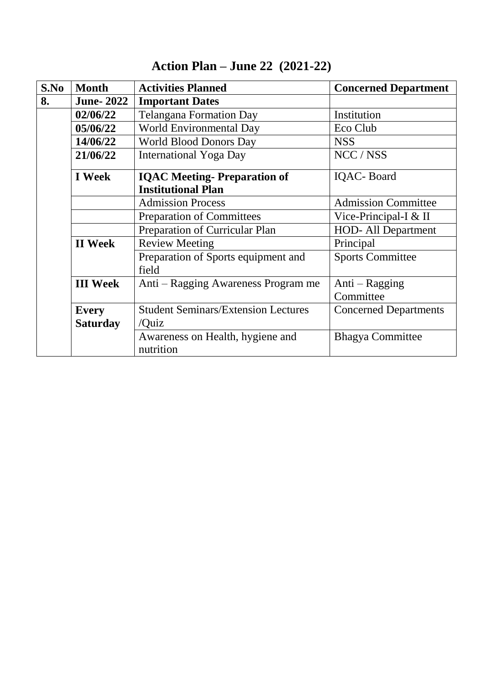| S.No            | <b>Month</b>                                               | <b>Activities Planned</b>                     | <b>Concerned Department</b>  |
|-----------------|------------------------------------------------------------|-----------------------------------------------|------------------------------|
| 8.              | <b>June-2022</b>                                           | <b>Important Dates</b>                        |                              |
|                 | 02/06/22                                                   | <b>Telangana Formation Day</b>                | Institution                  |
|                 | 05/06/22                                                   | World Environmental Day                       | Eco Club                     |
|                 | 14/06/22                                                   | <b>World Blood Donors Day</b>                 | <b>NSS</b>                   |
|                 | <b>International Yoga Day</b><br>21/06/22                  |                                               | NCC / NSS                    |
|                 | <b>I</b> Week                                              | <b>IQAC Meeting-Preparation of</b>            | <b>IQAC-Board</b>            |
|                 | <b>Institutional Plan</b>                                  |                                               |                              |
|                 | <b>Admission Process</b>                                   |                                               | <b>Admission Committee</b>   |
|                 | <b>Preparation of Committees</b>                           |                                               | Vice-Principal-I $&$ II      |
|                 | Preparation of Curricular Plan                             |                                               | <b>HOD-All Department</b>    |
|                 | <b>Review Meeting</b><br><b>II</b> Week                    |                                               | Principal                    |
|                 | Preparation of Sports equipment and                        |                                               | <b>Sports Committee</b>      |
|                 |                                                            | field                                         |                              |
| <b>III</b> Week |                                                            | Anti – Ragging Awareness Program me           | Anti – Ragging               |
|                 | <b>Student Seminars/Extension Lectures</b><br><b>Every</b> |                                               | Committee                    |
|                 |                                                            |                                               | <b>Concerned Departments</b> |
| <b>Saturday</b> |                                                            | /Quiz                                         |                              |
|                 |                                                            | Awareness on Health, hygiene and<br>nutrition | <b>Bhagya Committee</b>      |

# **Action Plan – June 22 (2021-22)**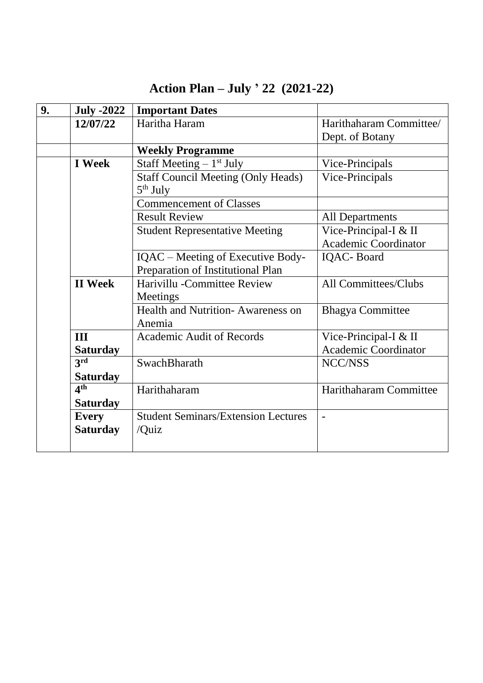| 9. | <b>July -2022</b>                 | <b>Important Dates</b>                                  |                             |  |
|----|-----------------------------------|---------------------------------------------------------|-----------------------------|--|
|    | 12/07/22                          | Haritha Haram                                           | Harithaharam Committee/     |  |
|    |                                   |                                                         | Dept. of Botany             |  |
|    |                                   | <b>Weekly Programme</b>                                 |                             |  |
|    | <b>I</b> Week                     | Staff Meeting $-1$ <sup>st</sup> July                   | Vice-Principals             |  |
|    |                                   | <b>Staff Council Meeting (Only Heads)</b><br>$5th$ July | Vice-Principals             |  |
|    |                                   | <b>Commencement of Classes</b>                          |                             |  |
|    |                                   | <b>Result Review</b>                                    | <b>All Departments</b>      |  |
|    |                                   | <b>Student Representative Meeting</b>                   | Vice-Principal-I & II       |  |
|    |                                   |                                                         | Academic Coordinator        |  |
|    |                                   | IQAC – Meeting of Executive Body-                       | <b>IQAC-Board</b>           |  |
|    | Preparation of Institutional Plan |                                                         |                             |  |
|    | <b>II</b> Week                    | Harivillu - Committee Review                            | All Committees/Clubs        |  |
|    |                                   | Meetings                                                |                             |  |
|    |                                   | Health and Nutrition-Awareness on                       | <b>Bhagya Committee</b>     |  |
|    |                                   | Anemia                                                  |                             |  |
|    | III                               | <b>Academic Audit of Records</b>                        | Vice-Principal-I & II       |  |
|    | <b>Saturday</b>                   |                                                         | <b>Academic Coordinator</b> |  |
|    | 3rd                               | SwachBharath                                            | NCC/NSS                     |  |
|    | <b>Saturday</b>                   |                                                         |                             |  |
|    | 4 <sup>th</sup>                   | Harithaharam                                            | Harithaharam Committee      |  |
|    | <b>Saturday</b>                   |                                                         |                             |  |
|    | <b>Every</b>                      | <b>Student Seminars/Extension Lectures</b>              | $\blacksquare$              |  |
|    | <b>Saturday</b>                   | /Quiz                                                   |                             |  |
|    |                                   |                                                         |                             |  |

# **Action Plan – July ' 22 (2021-22)**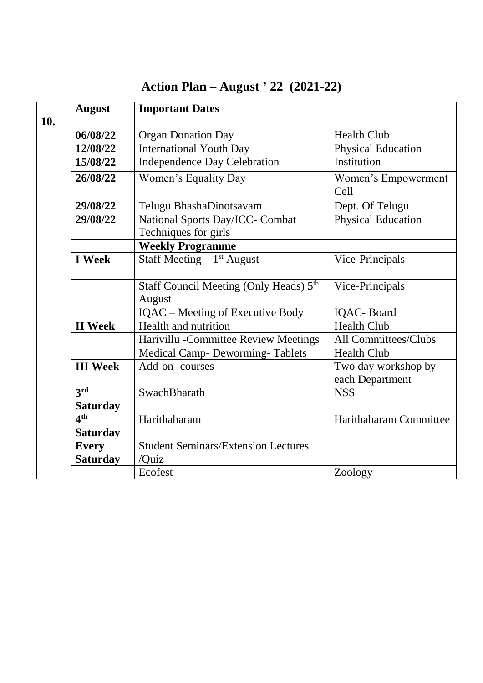|     | <b>August</b>   | <b>Important Dates</b>                                       |                                        |
|-----|-----------------|--------------------------------------------------------------|----------------------------------------|
| 10. |                 |                                                              |                                        |
|     | 06/08/22        | <b>Organ Donation Day</b>                                    | <b>Health Club</b>                     |
|     | 12/08/22        | <b>International Youth Day</b>                               | <b>Physical Education</b>              |
|     | 15/08/22        | <b>Independence Day Celebration</b>                          | Institution                            |
|     | 26/08/22        | Women's Equality Day                                         | Women's Empowerment<br>Cell            |
|     | 29/08/22        | Telugu BhashaDinotsavam                                      | Dept. Of Telugu                        |
|     | 29/08/22        | National Sports Day/ICC- Combat<br>Techniques for girls      | <b>Physical Education</b>              |
|     |                 | <b>Weekly Programme</b>                                      |                                        |
|     | <b>I</b> Week   | Staff Meeting $-1$ <sup>st</sup> August                      | Vice-Principals                        |
|     |                 | Staff Council Meeting (Only Heads) 5 <sup>th</sup><br>August | Vice-Principals                        |
|     |                 | <b>IQAC</b> – Meeting of Executive Body                      | <b>IQAC-Board</b>                      |
|     | <b>II</b> Week  | Health and nutrition                                         | <b>Health Club</b>                     |
|     |                 | Harivillu - Committee Review Meetings                        | All Committees/Clubs                   |
|     |                 | <b>Medical Camp- Deworming-Tablets</b>                       | <b>Health Club</b>                     |
|     | <b>III</b> Week | Add-on-courses                                               | Two day workshop by<br>each Department |
|     | 3rd             | SwachBharath                                                 | <b>NSS</b>                             |
|     | <b>Saturday</b> |                                                              |                                        |
|     | 4 <sup>th</sup> | Harithaharam                                                 | Harithaharam Committee                 |
|     | <b>Saturday</b> |                                                              |                                        |
|     | <b>Every</b>    | <b>Student Seminars/Extension Lectures</b>                   |                                        |
|     | <b>Saturday</b> | /Quiz                                                        |                                        |
|     |                 | Ecofest                                                      | Zoology                                |

## **Action Plan – August ' 22 (2021-22)**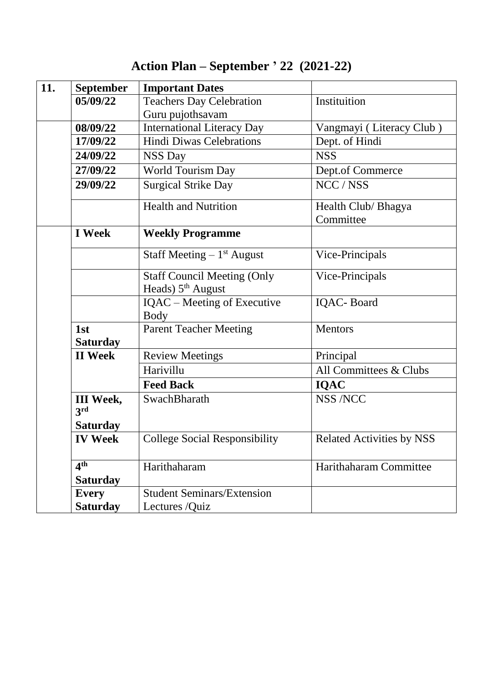| Action Plan – September ' 22 $(2021-22)$ |  |  |  |
|------------------------------------------|--|--|--|
|------------------------------------------|--|--|--|

| 11. | <b>September</b>                   | <b>Important Dates</b>                                    |                                  |
|-----|------------------------------------|-----------------------------------------------------------|----------------------------------|
|     | 05/09/22                           | <b>Teachers Day Celebration</b>                           | Instituition                     |
|     |                                    | Guru pujothsavam                                          |                                  |
|     | 08/09/22                           | <b>International Literacy Day</b>                         | Vangmayi (Literacy Club)         |
|     | 17/09/22                           | <b>Hindi Diwas Celebrations</b>                           | Dept. of Hindi                   |
|     | 24/09/22                           | <b>NSS Day</b>                                            | <b>NSS</b>                       |
|     | 27/09/22                           | World Tourism Day                                         | Dept.of Commerce                 |
|     | 29/09/22                           | <b>Surgical Strike Day</b>                                | NCC / NSS                        |
|     |                                    | <b>Health and Nutrition</b>                               | Health Club/ Bhagya<br>Committee |
|     | <b>I</b> Week                      | <b>Weekly Programme</b>                                   |                                  |
|     |                                    | Staff Meeting $-1$ <sup>st</sup> August                   | Vice-Principals                  |
|     |                                    | <b>Staff Council Meeting (Only</b><br>Heads) $5th$ August | Vice-Principals                  |
|     |                                    | IQAC – Meeting of Executive<br><b>Body</b>                | <b>IQAC-Board</b>                |
|     | 1st<br><b>Saturday</b>             | <b>Parent Teacher Meeting</b>                             | <b>Mentors</b>                   |
|     | <b>II</b> Week                     | <b>Review Meetings</b>                                    | Principal                        |
|     |                                    | Harivillu                                                 | All Committees & Clubs           |
|     |                                    | <b>Feed Back</b>                                          | <b>IQAC</b>                      |
|     | <b>III</b> Week,<br>3rd            | SwachBharath                                              | <b>NSS /NCC</b>                  |
|     | <b>Saturday</b>                    |                                                           |                                  |
|     | <b>IV Week</b>                     | <b>College Social Responsibility</b>                      | <b>Related Activities by NSS</b> |
|     | 4 <sup>th</sup><br><b>Saturday</b> | Harithaharam                                              | Harithaharam Committee           |
|     | <b>Every</b>                       | <b>Student Seminars/Extension</b>                         |                                  |
|     | <b>Saturday</b>                    | Lectures /Quiz                                            |                                  |
|     |                                    |                                                           |                                  |